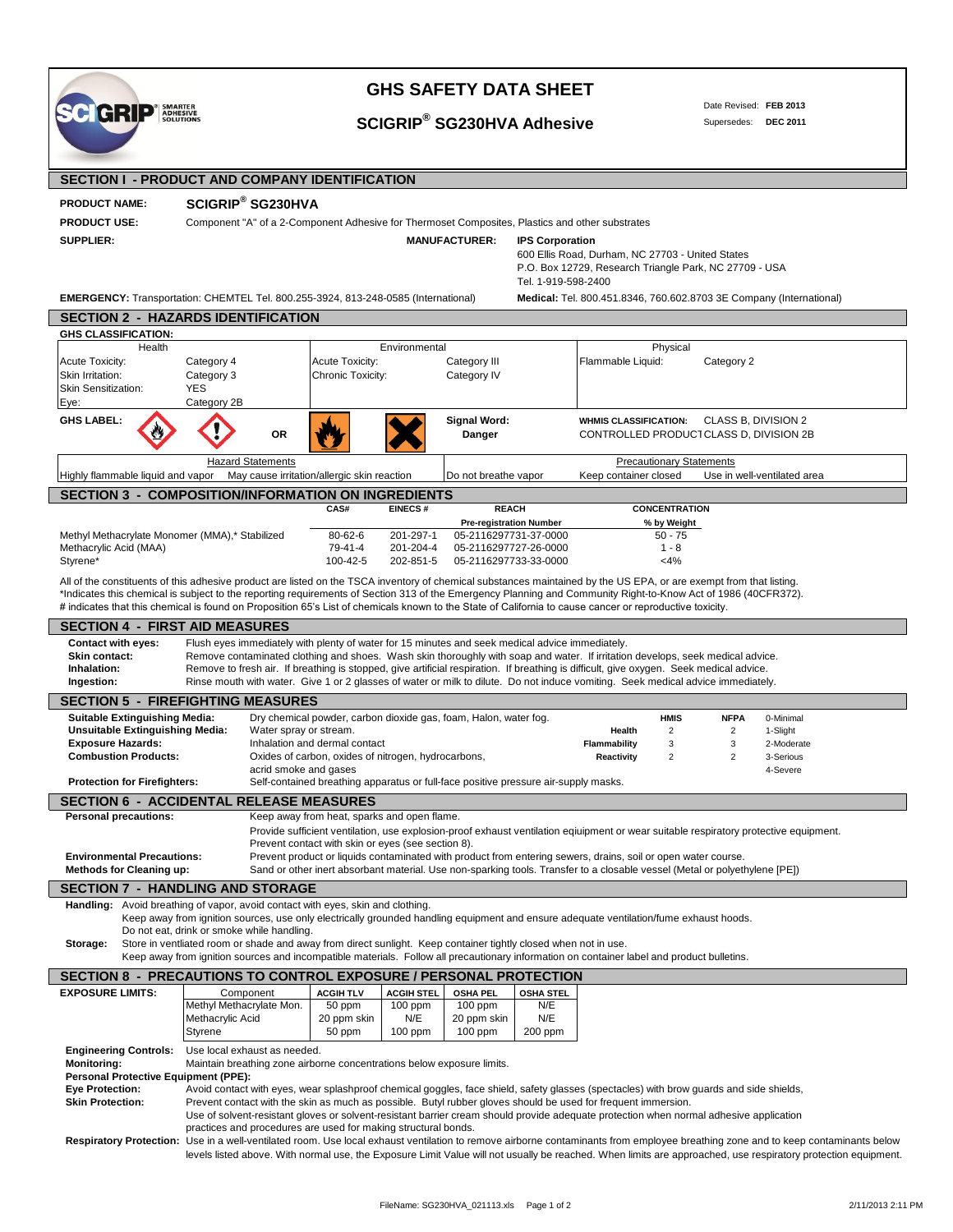| лчы<br><b>ADRESIVI</b><br><b>SOLUTIONS</b>                                                                                                                                                                                            |                                                                                                                                                                                                                                                                           |                                                                                                                                                                                             |                                | <b>SCIGRIP® SG230HVA Adhesive</b> |                         |                                                        |                                 |                | Supersedes: DEC 2011                                                |  |
|---------------------------------------------------------------------------------------------------------------------------------------------------------------------------------------------------------------------------------------|---------------------------------------------------------------------------------------------------------------------------------------------------------------------------------------------------------------------------------------------------------------------------|---------------------------------------------------------------------------------------------------------------------------------------------------------------------------------------------|--------------------------------|-----------------------------------|-------------------------|--------------------------------------------------------|---------------------------------|----------------|---------------------------------------------------------------------|--|
|                                                                                                                                                                                                                                       |                                                                                                                                                                                                                                                                           |                                                                                                                                                                                             |                                |                                   |                         |                                                        |                                 |                |                                                                     |  |
| <b>SECTION I - PRODUCT AND COMPANY IDENTIFICATION</b>                                                                                                                                                                                 |                                                                                                                                                                                                                                                                           |                                                                                                                                                                                             |                                |                                   |                         |                                                        |                                 |                |                                                                     |  |
| <b>PRODUCT NAME:</b>                                                                                                                                                                                                                  | SCIGRIP® SG230HVA                                                                                                                                                                                                                                                         |                                                                                                                                                                                             |                                |                                   |                         |                                                        |                                 |                |                                                                     |  |
| <b>PRODUCT USE:</b>                                                                                                                                                                                                                   | Component "A" of a 2-Component Adhesive for Thermoset Composites, Plastics and other substrates                                                                                                                                                                           |                                                                                                                                                                                             |                                |                                   |                         |                                                        |                                 |                |                                                                     |  |
| <b>SUPPLIER:</b>                                                                                                                                                                                                                      |                                                                                                                                                                                                                                                                           |                                                                                                                                                                                             |                                | <b>MANUFACTURER:</b>              | <b>IPS Corporation</b>  |                                                        |                                 |                |                                                                     |  |
|                                                                                                                                                                                                                                       |                                                                                                                                                                                                                                                                           |                                                                                                                                                                                             |                                |                                   |                         | 600 Ellis Road, Durham, NC 27703 - United States       |                                 |                |                                                                     |  |
|                                                                                                                                                                                                                                       |                                                                                                                                                                                                                                                                           |                                                                                                                                                                                             |                                |                                   |                         | P.O. Box 12729, Research Triangle Park, NC 27709 - USA |                                 |                |                                                                     |  |
|                                                                                                                                                                                                                                       |                                                                                                                                                                                                                                                                           |                                                                                                                                                                                             |                                |                                   | Tel. 1-919-598-2400     |                                                        |                                 |                |                                                                     |  |
| <b>EMERGENCY:</b> Transportation: CHEMTEL Tel. 800.255-3924, 813-248-0585 (International)                                                                                                                                             |                                                                                                                                                                                                                                                                           |                                                                                                                                                                                             |                                |                                   |                         |                                                        |                                 |                | Medical: Tel. 800.451.8346, 760.602.8703 3E Company (International) |  |
| <b>SECTION 2 - HAZARDS IDENTIFICATION</b>                                                                                                                                                                                             |                                                                                                                                                                                                                                                                           |                                                                                                                                                                                             |                                |                                   |                         |                                                        |                                 |                |                                                                     |  |
| <b>GHS CLASSIFICATION:</b>                                                                                                                                                                                                            |                                                                                                                                                                                                                                                                           |                                                                                                                                                                                             |                                |                                   |                         |                                                        |                                 |                |                                                                     |  |
| Health                                                                                                                                                                                                                                |                                                                                                                                                                                                                                                                           |                                                                                                                                                                                             | Environmental                  |                                   |                         |                                                        | Physical                        |                |                                                                     |  |
| <b>Acute Toxicity:</b><br>Skin Irritation:                                                                                                                                                                                            | Category 4<br>Category 3                                                                                                                                                                                                                                                  | Acute Toxicity:<br>Chronic Toxicity:                                                                                                                                                        |                                | Category III<br>Category IV       |                         | Flammable Liquid:                                      |                                 | Category 2     |                                                                     |  |
| <b>Skin Sensitization:</b>                                                                                                                                                                                                            | <b>YES</b>                                                                                                                                                                                                                                                                |                                                                                                                                                                                             |                                |                                   |                         |                                                        |                                 |                |                                                                     |  |
| Eye:                                                                                                                                                                                                                                  | Category 2B                                                                                                                                                                                                                                                               |                                                                                                                                                                                             |                                |                                   |                         |                                                        |                                 |                |                                                                     |  |
| <b>GHS LABEL:</b>                                                                                                                                                                                                                     |                                                                                                                                                                                                                                                                           |                                                                                                                                                                                             |                                | <b>Signal Word:</b>               |                         | <b>WHMIS CLASSIFICATION:</b>                           |                                 |                | CLASS B, DIVISION 2                                                 |  |
|                                                                                                                                                                                                                                       | <b>OR</b>                                                                                                                                                                                                                                                                 |                                                                                                                                                                                             |                                | Danger                            |                         | CONTROLLED PRODUCT CLASS D, DIVISION 2B                |                                 |                |                                                                     |  |
|                                                                                                                                                                                                                                       |                                                                                                                                                                                                                                                                           |                                                                                                                                                                                             |                                |                                   |                         |                                                        |                                 |                |                                                                     |  |
| Highly flammable liquid and vapor May cause irritation/allergic skin reaction                                                                                                                                                         | <b>Hazard Statements</b>                                                                                                                                                                                                                                                  |                                                                                                                                                                                             |                                |                                   |                         | Keep container closed                                  | <b>Precautionary Statements</b> |                | Use in well-ventilated area                                         |  |
|                                                                                                                                                                                                                                       |                                                                                                                                                                                                                                                                           |                                                                                                                                                                                             |                                | Do not breathe vapor              |                         |                                                        |                                 |                |                                                                     |  |
| <b>SECTION 3 - COMPOSITION/INFORMATION ON INGREDIENTS</b>                                                                                                                                                                             |                                                                                                                                                                                                                                                                           | CAS#                                                                                                                                                                                        | <b>EINECS#</b>                 | <b>REACH</b>                      |                         |                                                        | <b>CONCENTRATION</b>            |                |                                                                     |  |
|                                                                                                                                                                                                                                       |                                                                                                                                                                                                                                                                           |                                                                                                                                                                                             |                                | <b>Pre-registration Number</b>    |                         |                                                        | % by Weight                     |                |                                                                     |  |
| Methyl Methacrylate Monomer (MMA),* Stabilized                                                                                                                                                                                        |                                                                                                                                                                                                                                                                           | 80-62-6                                                                                                                                                                                     | 201-297-1                      | 05-2116297731-37-0000             |                         |                                                        | $50 - 75$                       |                |                                                                     |  |
| Methacrylic Acid (MAA)                                                                                                                                                                                                                |                                                                                                                                                                                                                                                                           | 79-41-4                                                                                                                                                                                     | 201-204-4                      | 05-2116297727-26-0000             |                         |                                                        | $1 - 8$                         |                |                                                                     |  |
| Styrene*                                                                                                                                                                                                                              |                                                                                                                                                                                                                                                                           | 100-42-5                                                                                                                                                                                    | 202-851-5                      | 05-2116297733-33-0000             |                         |                                                        | $<$ 4%                          |                |                                                                     |  |
| All of the constituents of this adhesive product are listed on the TSCA inventory of chemical substances maintained by the US EPA, or are exempt from that listing.                                                                   |                                                                                                                                                                                                                                                                           |                                                                                                                                                                                             |                                |                                   |                         |                                                        |                                 |                |                                                                     |  |
| *Indicates this chemical is subject to the reporting requirements of Section 313 of the Emergency Planning and Community Right-to-Know Act of 1986 (40CFR372).                                                                        |                                                                                                                                                                                                                                                                           |                                                                                                                                                                                             |                                |                                   |                         |                                                        |                                 |                |                                                                     |  |
| # indicates that this chemical is found on Proposition 65's List of chemicals known to the State of California to cause cancer or reproductive toxicity.                                                                              |                                                                                                                                                                                                                                                                           |                                                                                                                                                                                             |                                |                                   |                         |                                                        |                                 |                |                                                                     |  |
| <b>SECTION 4 - FIRST AID MEASURES</b>                                                                                                                                                                                                 |                                                                                                                                                                                                                                                                           |                                                                                                                                                                                             |                                |                                   |                         |                                                        |                                 |                |                                                                     |  |
| <b>Contact with eyes:</b>                                                                                                                                                                                                             | Flush eyes immediately with plenty of water for 15 minutes and seek medical advice immediately.                                                                                                                                                                           |                                                                                                                                                                                             |                                |                                   |                         |                                                        |                                 |                |                                                                     |  |
| Skin contact:<br>Inhalation:                                                                                                                                                                                                          | Remove contaminated clothing and shoes. Wash skin thoroughly with soap and water. If irritation develops, seek medical advice.<br>Remove to fresh air. If breathing is stopped, give artificial respiration. If breathing is difficult, give oxygen. Seek medical advice. |                                                                                                                                                                                             |                                |                                   |                         |                                                        |                                 |                |                                                                     |  |
| Ingestion:                                                                                                                                                                                                                            | Rinse mouth with water. Give 1 or 2 glasses of water or milk to dilute. Do not induce vomiting. Seek medical advice immediately.                                                                                                                                          |                                                                                                                                                                                             |                                |                                   |                         |                                                        |                                 |                |                                                                     |  |
| <b>SECTION 5 - FIREFIGHTING MEASURES</b>                                                                                                                                                                                              |                                                                                                                                                                                                                                                                           |                                                                                                                                                                                             |                                |                                   |                         |                                                        |                                 |                |                                                                     |  |
| <b>Suitable Extinguishing Media:</b>                                                                                                                                                                                                  |                                                                                                                                                                                                                                                                           | Dry chemical powder, carbon dioxide gas, foam, Halon, water fog.                                                                                                                            |                                |                                   |                         |                                                        | <b>HMIS</b>                     | <b>NFPA</b>    | 0-Minimal                                                           |  |
| <b>Unsuitable Extinguishing Media:</b>                                                                                                                                                                                                |                                                                                                                                                                                                                                                                           | Water spray or stream.                                                                                                                                                                      |                                |                                   |                         | Health                                                 | $\overline{2}$                  | $\overline{2}$ | 1-Slight                                                            |  |
| <b>Exposure Hazards:</b>                                                                                                                                                                                                              |                                                                                                                                                                                                                                                                           | Inhalation and dermal contact                                                                                                                                                               |                                |                                   |                         | Flammability                                           | 3                               | 3              | 2-Moderate                                                          |  |
| <b>Combustion Products:</b>                                                                                                                                                                                                           |                                                                                                                                                                                                                                                                           | Oxides of carbon, oxides of nitrogen, hydrocarbons,                                                                                                                                         |                                |                                   |                         | Reactivity                                             | 2                               | 2              | 3-Serious                                                           |  |
| <b>Protection for Firefighters:</b>                                                                                                                                                                                                   |                                                                                                                                                                                                                                                                           | acrid smoke and gases<br>Self-contained breathing apparatus or full-face positive pressure air-supply masks.                                                                                |                                |                                   |                         |                                                        |                                 |                | 4-Severe                                                            |  |
|                                                                                                                                                                                                                                       |                                                                                                                                                                                                                                                                           |                                                                                                                                                                                             |                                |                                   |                         |                                                        |                                 |                |                                                                     |  |
| <b>SECTION 6 - ACCIDENTAL RELEASE MEASURES</b>                                                                                                                                                                                        |                                                                                                                                                                                                                                                                           |                                                                                                                                                                                             |                                |                                   |                         |                                                        |                                 |                |                                                                     |  |
| <b>Personal precautions:</b>                                                                                                                                                                                                          |                                                                                                                                                                                                                                                                           | Keep away from heat, sparks and open flame.                                                                                                                                                 |                                |                                   |                         |                                                        |                                 |                |                                                                     |  |
|                                                                                                                                                                                                                                       |                                                                                                                                                                                                                                                                           | Provide sufficient ventilation, use explosion-proof exhaust ventilation eqiuipment or wear suitable respiratory protective equipment.<br>Prevent contact with skin or eyes (see section 8). |                                |                                   |                         |                                                        |                                 |                |                                                                     |  |
| <b>Environmental Precautions:</b>                                                                                                                                                                                                     |                                                                                                                                                                                                                                                                           | Prevent product or liquids contaminated with product from entering sewers, drains, soil or open water course.                                                                               |                                |                                   |                         |                                                        |                                 |                |                                                                     |  |
| <b>Methods for Cleaning up:</b>                                                                                                                                                                                                       |                                                                                                                                                                                                                                                                           | Sand or other inert absorbant material. Use non-sparking tools. Transfer to a closable vessel (Metal or polyethylene [PE])                                                                  |                                |                                   |                         |                                                        |                                 |                |                                                                     |  |
| <b>SECTION 7 - HANDLING AND STORAGE</b>                                                                                                                                                                                               |                                                                                                                                                                                                                                                                           |                                                                                                                                                                                             |                                |                                   |                         |                                                        |                                 |                |                                                                     |  |
| Handling: Avoid breathing of vapor, avoid contact with eyes, skin and clothing.                                                                                                                                                       |                                                                                                                                                                                                                                                                           |                                                                                                                                                                                             |                                |                                   |                         |                                                        |                                 |                |                                                                     |  |
|                                                                                                                                                                                                                                       | Keep away from ignition sources, use only electrically grounded handling equipment and ensure adequate ventilation/fume exhaust hoods.                                                                                                                                    |                                                                                                                                                                                             |                                |                                   |                         |                                                        |                                 |                |                                                                     |  |
|                                                                                                                                                                                                                                       | Do not eat, drink or smoke while handling.                                                                                                                                                                                                                                |                                                                                                                                                                                             |                                |                                   |                         |                                                        |                                 |                |                                                                     |  |
| Storage:                                                                                                                                                                                                                              | Store in ventliated room or shade and away from direct sunlight. Keep container tightly closed when not in use.<br>Keep away from ignition sources and incompatible materials. Follow all precautionary information on container label and product bulletins.             |                                                                                                                                                                                             |                                |                                   |                         |                                                        |                                 |                |                                                                     |  |
| SECTION 8 - PRECAUTIONS TO CONTROL EXPOSURE / PERSONAL PROTECTION                                                                                                                                                                     |                                                                                                                                                                                                                                                                           |                                                                                                                                                                                             |                                |                                   |                         |                                                        |                                 |                |                                                                     |  |
| <b>EXPOSURE LIMITS:</b>                                                                                                                                                                                                               | Component                                                                                                                                                                                                                                                                 |                                                                                                                                                                                             |                                |                                   |                         |                                                        |                                 |                |                                                                     |  |
|                                                                                                                                                                                                                                       | Methyl Methacrylate Mon.                                                                                                                                                                                                                                                  | <b>ACGIH TLV</b><br>50 ppm                                                                                                                                                                  | <b>ACGIH STEL</b><br>$100$ ppm | <b>OSHA PEL</b><br>$100$ ppm      | <b>OSHA STEL</b><br>N/E |                                                        |                                 |                |                                                                     |  |
|                                                                                                                                                                                                                                       | Methacrylic Acid                                                                                                                                                                                                                                                          | 20 ppm skin                                                                                                                                                                                 | N/E                            | 20 ppm skin                       | N/E                     |                                                        |                                 |                |                                                                     |  |
|                                                                                                                                                                                                                                       | Styrene                                                                                                                                                                                                                                                                   | 50 ppm                                                                                                                                                                                      | 100 ppm                        | 100 ppm                           | 200 ppm                 |                                                        |                                 |                |                                                                     |  |
| <b>Engineering Controls:</b>                                                                                                                                                                                                          | Use local exhaust as needed.                                                                                                                                                                                                                                              |                                                                                                                                                                                             |                                |                                   |                         |                                                        |                                 |                |                                                                     |  |
| <b>Monitoring:</b>                                                                                                                                                                                                                    | Maintain breathing zone airborne concentrations below exposure limits.                                                                                                                                                                                                    |                                                                                                                                                                                             |                                |                                   |                         |                                                        |                                 |                |                                                                     |  |
| <b>Personal Protective Equipment (PPE):</b>                                                                                                                                                                                           |                                                                                                                                                                                                                                                                           |                                                                                                                                                                                             |                                |                                   |                         |                                                        |                                 |                |                                                                     |  |
|                                                                                                                                                                                                                                       |                                                                                                                                                                                                                                                                           |                                                                                                                                                                                             |                                |                                   |                         |                                                        |                                 |                |                                                                     |  |
|                                                                                                                                                                                                                                       | Avoid contact with eyes, wear splashproof chemical goggles, face shield, safety glasses (spectacles) with brow guards and side shields,                                                                                                                                   |                                                                                                                                                                                             |                                |                                   |                         |                                                        |                                 |                |                                                                     |  |
|                                                                                                                                                                                                                                       | Prevent contact with the skin as much as possible. Butyl rubber gloves should be used for frequent immersion.                                                                                                                                                             |                                                                                                                                                                                             |                                |                                   |                         |                                                        |                                 |                |                                                                     |  |
|                                                                                                                                                                                                                                       | Use of solvent-resistant gloves or solvent-resistant barrier cream should provide adequate protection when normal adhesive application                                                                                                                                    |                                                                                                                                                                                             |                                |                                   |                         |                                                        |                                 |                |                                                                     |  |
| <b>Eye Protection:</b><br><b>Skin Protection:</b><br>Respiratory Protection: Use in a well-ventilated room. Use local exhaust ventilation to remove airborne contaminants from employee breathing zone and to keep contaminants below | practices and procedures are used for making structural bonds.                                                                                                                                                                                                            |                                                                                                                                                                                             |                                |                                   |                         |                                                        |                                 |                |                                                                     |  |

## **GHS SAFETY DATA SHEET**

**SC GRIP BOLESTON** 

Date Revised: **FEB 2013** Supersedes: **DEC 2011**